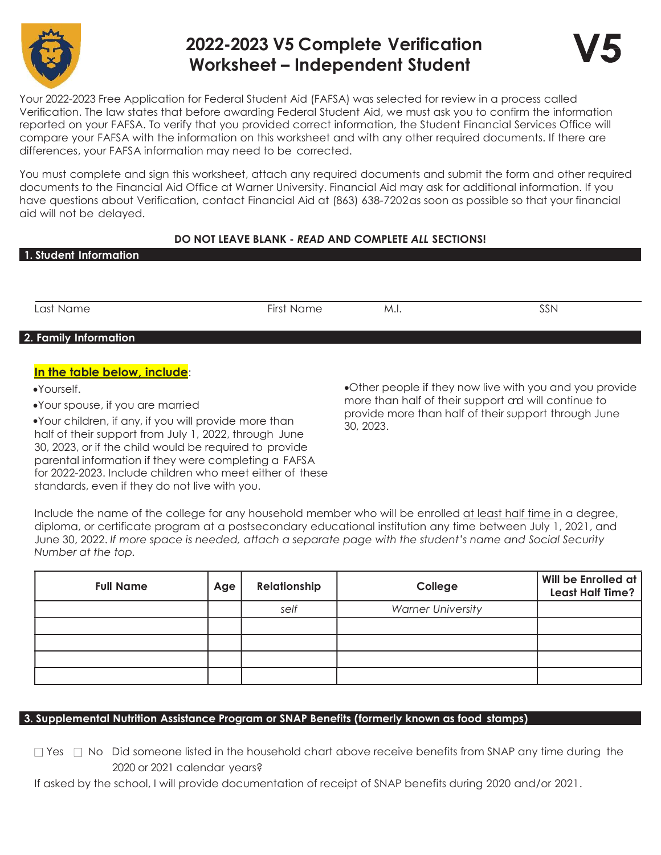

# 2022-2023 V5 Complete Verification Worksheet – Independent Student



Your 2022-2023 Free Application for Federal Student Aid (FAFSA) was selected for review in a process called Verification. The law states that before awarding Federal Student Aid, we must ask you to confirm the information reported on your FAFSA. To verify that you provided correct information, the Student Financial Services Office will compare your FAFSA with the information on this worksheet and with any other required documents. If there are differences, your FAFSA information may need to be corrected.

You must complete and sign this worksheet, attach any required documents and submit the form and other required documents to the Financial Aid Office at Warner University. Financial Aid may ask for additional information. If you have questions about Verification, contact Financial Aid at (863) 638-7202 as soon as possible so that your financial aid will not be delayed.

## DO NOT LEAVE BLANK - READ AND COMPLETE ALL SECTIONS!

| 1. Student Information |
|------------------------|
|                        |
|                        |

Last Name First Name M.I. SSN

## 2. Family Information

## In the table below, include:

Yourself.

Your spouse, if you are married

Your children, if any, if you will provide more than half of their support from July 1, 2022, through June 30, 2023, or if the child would be required to provide parental information if they were completing a FAFSA for 2022-2023. Include children who meet either of these standards, even if they do not live with you.

Other people if they now live with you and you provide more than half of their support and will continue to provide more than half of their support through June 30, 2023.

Include the name of the college for any household member who will be enrolled at least half time in a degree, diploma, or certificate program at a postsecondary educational institution any time between July 1, 2021, and June 30, 2022. If more space is needed, attach a separate page with the student's name and Social Security Number at the top.

| <b>Full Name</b> | Age | Relationship | College                  | Will be Enrolled at<br><b>Least Half Time?</b> |
|------------------|-----|--------------|--------------------------|------------------------------------------------|
|                  |     | self         | <b>Warner University</b> |                                                |
|                  |     |              |                          |                                                |
|                  |     |              |                          |                                                |
|                  |     |              |                          |                                                |
|                  |     |              |                          |                                                |

## 3. Supplemental Nutrition Assistance Program or SNAP Benefits (formerly known as food stamps)

 $\Box$  Yes  $\Box$  No Did someone listed in the household chart above receive benefits from SNAP any time during the 2020 or 2021 calendar years?

If asked by the school, I will provide documentation of receipt of SNAP benefits during 2020 and/or 2021.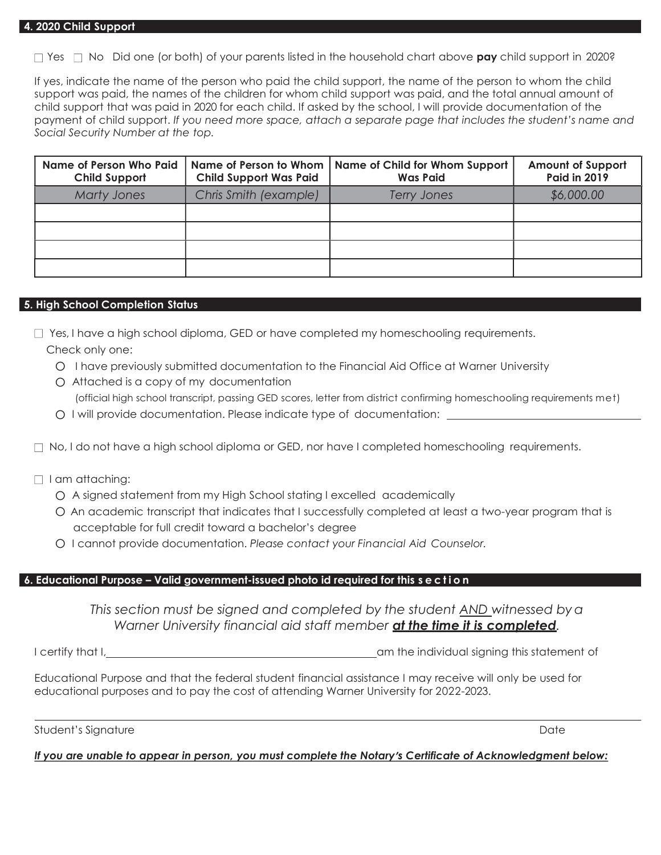$\Box$  Yes  $\Box$  No Did one (or both) of your parents listed in the household chart above **pay** child support in 2020?

If yes, indicate the name of the person who paid the child support, the name of the person to whom the child support was paid, the names of the children for whom child support was paid, and the total annual amount of child support that was paid in 2020 for each child. If asked by the school, I will provide documentation of the payment of child support. If you need more space, attach a separate page that includes the student's name and Social Security Number at the top.

| Name of Person Who Paid<br><b>Child Support</b> | Name of Person to Whom  <br><b>Child Support Was Paid</b> | Name of Child for Whom Support<br><b>Was Paid</b> | <b>Amount of Support</b><br><b>Paid in 2019</b> |
|-------------------------------------------------|-----------------------------------------------------------|---------------------------------------------------|-------------------------------------------------|
| <b>Marty Jones</b>                              | Chris Smith (example)                                     | <b>Terry Jones</b>                                | \$6,000.00                                      |
|                                                 |                                                           |                                                   |                                                 |
|                                                 |                                                           |                                                   |                                                 |
|                                                 |                                                           |                                                   |                                                 |
|                                                 |                                                           |                                                   |                                                 |

#### 5. High School Completion Status

- $\Box$  Yes, I have a high school diploma, GED or have completed my homeschooling requirements. Check only one:
	- O I have previously submitted documentation to the Financial Aid Office at Warner University
	- O Attached is a copy of my documentation (official high school transcript, passing GED scores, letter from district confirming homeschooling requirements met)
	- O I will provide documentation. Please indicate type of documentation:
- $\Box$  No, I do not have a high school diploma or GED, nor have I completed homeschooling requirements.
- $\Box$  I am attaching:
	- O A signed statement from my High School stating I excelled academically
	- O An academic transcript that indicates that I successfully completed at least a two-year program that is acceptable for full credit toward a bachelor's degree
	- O I cannot provide documentation. Please contact your Financial Aid Counselor.

#### 6. Educational Purpose – Valid government-issued photo id required for this s e c t i o n

This section must be signed and completed by the student <u>AND</u> witnessed by a Warner University financial aid staff member **at the time it is completed**.

I certify that I, am the individual signing this statement of

Educational Purpose and that the federal student financial assistance I may receive will only be used for educational purposes and to pay the cost of attending Warner University for 2022-2023.

Student's Signature Date Date of the United Student's Signature Date Date of the United Student's Signature Date

#### If you are unable to appear in person, you must complete the Notary's Certificate of Acknowledgment below: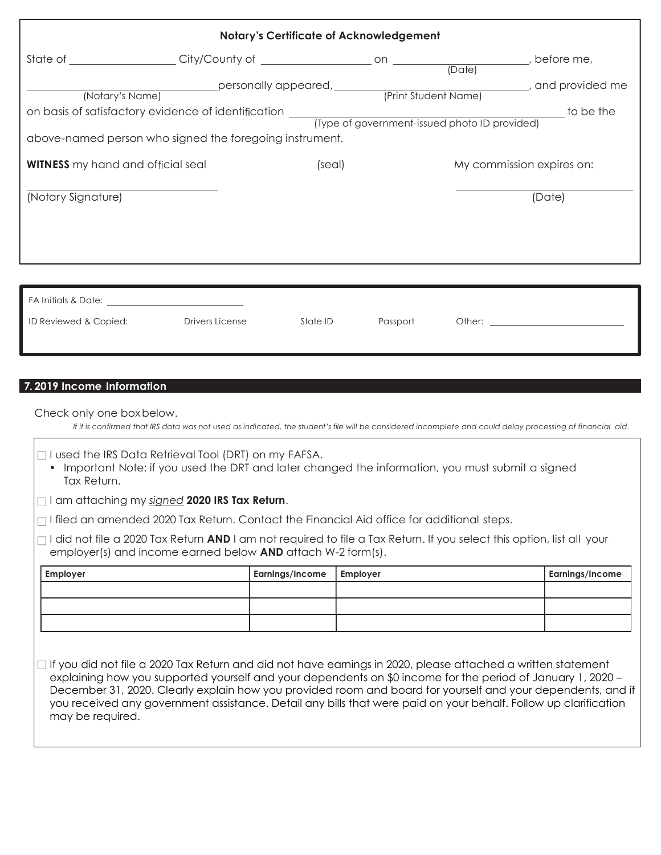| <b>Notary's Certificate of Acknowledgement</b>                                                                                                                                                                                 |                                                         |          |          |                           |           |
|--------------------------------------------------------------------------------------------------------------------------------------------------------------------------------------------------------------------------------|---------------------------------------------------------|----------|----------|---------------------------|-----------|
|                                                                                                                                                                                                                                |                                                         |          |          |                           |           |
| (Notary's Name)                                                                                                                                                                                                                |                                                         |          |          |                           |           |
|                                                                                                                                                                                                                                |                                                         |          |          |                           | to be the |
|                                                                                                                                                                                                                                | above-named person who signed the foregoing instrument. |          |          |                           |           |
| <b>WITNESS</b> my hand and official seal                                                                                                                                                                                       |                                                         | (seal)   |          | My commission expires on: |           |
| (Notary Signature)                                                                                                                                                                                                             |                                                         |          |          |                           | (Date)    |
|                                                                                                                                                                                                                                |                                                         |          |          |                           |           |
|                                                                                                                                                                                                                                |                                                         |          |          |                           |           |
| FA Initials & Date: The Second Second Second Second Second Second Second Second Second Second Second Second Second Second Second Second Second Second Second Second Second Second Second Second Second Second Second Second Se |                                                         |          |          |                           |           |
| ID Reviewed & Copied:                                                                                                                                                                                                          | <b>Drivers License</b>                                  | State ID | Passport | Other:                    |           |

## 7. 2019 Income Information

Check only one box below.

If it is confirmed that IRS data was not used as indicated, the student's file will be considered incomplete and could delay processing of financial aid.

 $\Box$  I used the IRS Data Retrieval Tool (DRT) on my FAFSA.

• Important Note: if you used the DRT and later changed the information, you must submit a signed Tax Return.

 $\Box$  I am attaching my signed 2020 IRS Tax Return.

 $\Box$  I filed an amended 2020 Tax Return. Contact the Financial Aid office for additional steps.

 $\Box$ I did not file a 2020 Tax Return AND I am not required to file a Tax Return. If you select this option, list all your employer(s) and income earned below AND attach W-2 form(s).

| <b>Employer</b> | Earnings/Income   Employer | <b>Earnings/Income</b> |
|-----------------|----------------------------|------------------------|
|                 |                            |                        |
|                 |                            |                        |
|                 |                            |                        |

 $\Box$  If you did not file a 2020 Tax Return and did not have earnings in 2020, please attached a written statement explaining how you supported yourself and your dependents on \$0 income for the period of January 1, 2020 – December 31, 2020. Clearly explain how you provided room and board for yourself and your dependents, and if you received any government assistance. Detail any bills that were paid on your behalf. Follow up clarification may be required.